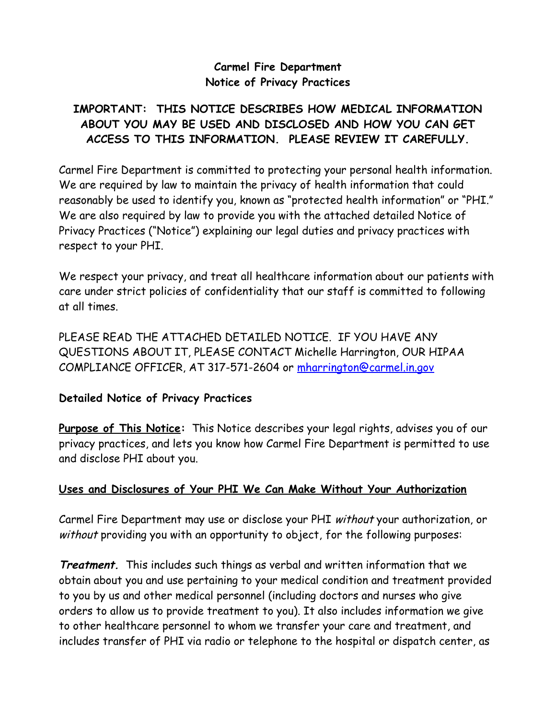# **Carmel Fire Department Notice of Privacy Practices**

# **IMPORTANT: THIS NOTICE DESCRIBES HOW MEDICAL INFORMATION ABOUT YOU MAY BE USED AND DISCLOSED AND HOW YOU CAN GET ACCESS TO THIS INFORMATION. PLEASE REVIEW IT CAREFULLY.**

Carmel Fire Department is committed to protecting your personal health information. We are required by law to maintain the privacy of health information that could reasonably be used to identify you, known as "protected health information" or "PHI." We are also required by law to provide you with the attached detailed Notice of Privacy Practices ("Notice") explaining our legal duties and privacy practices with respect to your PHI.

We respect your privacy, and treat all healthcare information about our patients with care under strict policies of confidentiality that our staff is committed to following at all times.

PLEASE READ THE ATTACHED DETAILED NOTICE. IF YOU HAVE ANY QUESTIONS ABOUT IT, PLEASE CONTACT Michelle Harrington, OUR HIPAA COMPLIANCE OFFICER, AT 317-571-2604 or [mharrington@carmel.in.gov](mailto:mharrington@carmel.in.gov)

# **Detailed Notice of Privacy Practices**

**Purpose of This Notice:** This Notice describes your legal rights, advises you of our privacy practices, and lets you know how Carmel Fire Department is permitted to use and disclose PHI about you.

#### **Uses and Disclosures of Your PHI We Can Make Without Your Authorization**

Carmel Fire Department may use or disclose your PHI without your authorization, or without providing you with an opportunity to object, for the following purposes:

**Treatment.** This includes such things as verbal and written information that we obtain about you and use pertaining to your medical condition and treatment provided to you by us and other medical personnel (including doctors and nurses who give orders to allow us to provide treatment to you). It also includes information we give to other healthcare personnel to whom we transfer your care and treatment, and includes transfer of PHI via radio or telephone to the hospital or dispatch center, as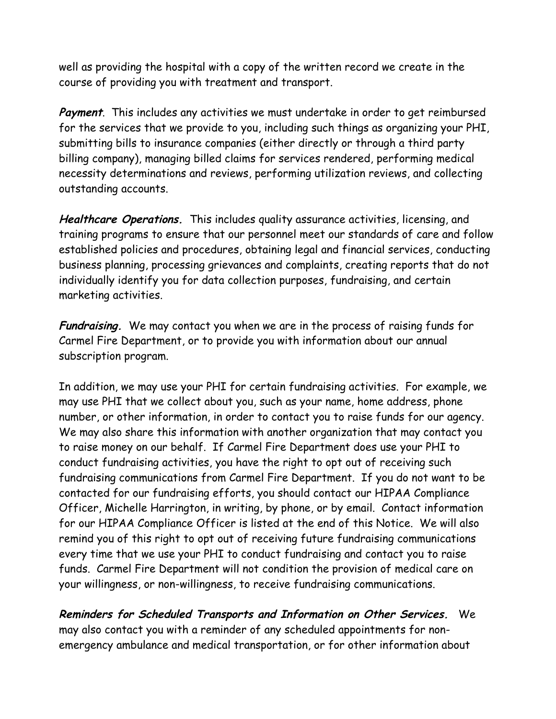well as providing the hospital with a copy of the written record we create in the course of providing you with treatment and transport.

**Payment**. This includes any activities we must undertake in order to get reimbursed for the services that we provide to you, including such things as organizing your PHI, submitting bills to insurance companies (either directly or through a third party billing company), managing billed claims for services rendered, performing medical necessity determinations and reviews, performing utilization reviews, and collecting outstanding accounts.

**Healthcare Operations.** This includes quality assurance activities, licensing, and training programs to ensure that our personnel meet our standards of care and follow established policies and procedures, obtaining legal and financial services, conducting business planning, processing grievances and complaints, creating reports that do not individually identify you for data collection purposes, fundraising, and certain marketing activities.

**Fundraising.** We may contact you when we are in the process of raising funds for Carmel Fire Department, or to provide you with information about our annual subscription program.

In addition, we may use your PHI for certain fundraising activities. For example, we may use PHI that we collect about you, such as your name, home address, phone number, or other information, in order to contact you to raise funds for our agency. We may also share this information with another organization that may contact you to raise money on our behalf. If Carmel Fire Department does use your PHI to conduct fundraising activities, you have the right to opt out of receiving such fundraising communications from Carmel Fire Department. If you do not want to be contacted for our fundraising efforts, you should contact our HIPAA Compliance Officer, Michelle Harrington, in writing, by phone, or by email. Contact information for our HIPAA Compliance Officer is listed at the end of this Notice. We will also remind you of this right to opt out of receiving future fundraising communications every time that we use your PHI to conduct fundraising and contact you to raise funds. Carmel Fire Department will not condition the provision of medical care on your willingness, or non-willingness, to receive fundraising communications.

**Reminders for Scheduled Transports and Information on Other Services.** We may also contact you with a reminder of any scheduled appointments for nonemergency ambulance and medical transportation, or for other information about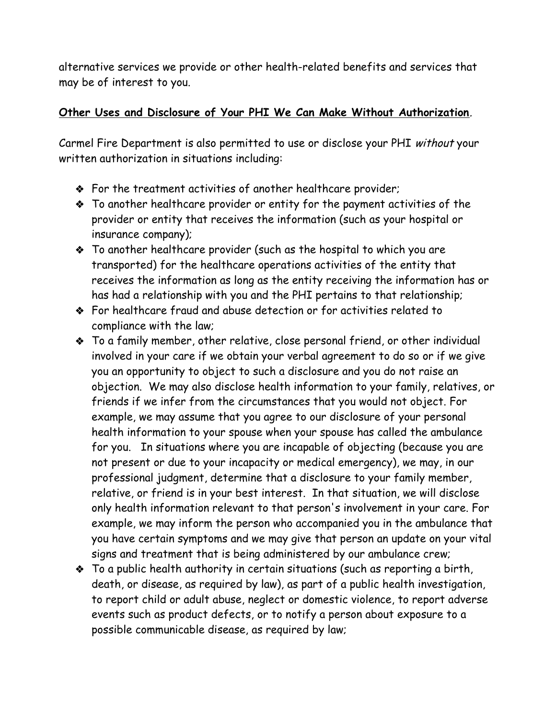alternative services we provide or other health-related benefits and services that may be of interest to you.

### **Other Uses and Disclosure of Your PHI We Can Make Without Authorization**.

Carmel Fire Department is also permitted to use or disclose your PHI without your written authorization in situations including:

- For the treatment activities of another healthcare provider;
- To another healthcare provider or entity for the payment activities of the provider or entity that receives the information (such as your hospital or insurance company);
- To another healthcare provider (such as the hospital to which you are transported) for the healthcare operations activities of the entity that receives the information as long as the entity receiving the information has or has had a relationship with you and the PHI pertains to that relationship;
- For healthcare fraud and abuse detection or for activities related to compliance with the law;
- To a family member, other relative, close personal friend, or other individual involved in your care if we obtain your verbal agreement to do so or if we give you an opportunity to object to such a disclosure and you do not raise an objection. We may also disclose health information to your family, relatives, or friends if we infer from the circumstances that you would not object. For example, we may assume that you agree to our disclosure of your personal health information to your spouse when your spouse has called the ambulance for you. In situations where you are incapable of objecting (because you are not present or due to your incapacity or medical emergency), we may, in our professional judgment, determine that a disclosure to your family member, relative, or friend is in your best interest. In that situation, we will disclose only health information relevant to that person's involvement in your care. For example, we may inform the person who accompanied you in the ambulance that you have certain symptoms and we may give that person an update on your vital signs and treatment that is being administered by our ambulance crew;
- To a public health authority in certain situations (such as reporting a birth, death, or disease, as required by law), as part of a public health investigation, to report child or adult abuse, neglect or domestic violence, to report adverse events such as product defects, or to notify a person about exposure to a possible communicable disease, as required by law;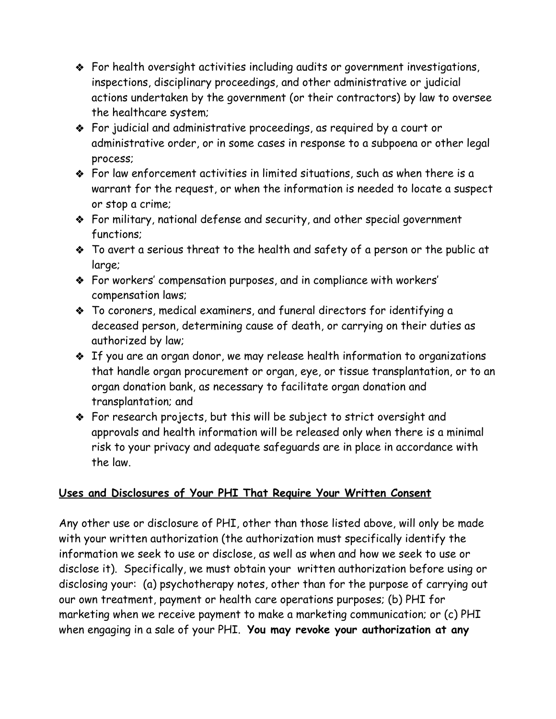- For health oversight activities including audits or government investigations, inspections, disciplinary proceedings, and other administrative or judicial actions undertaken by the government (or their contractors) by law to oversee the healthcare system;
- For judicial and administrative proceedings, as required by a court or administrative order, or in some cases in response to a subpoena or other legal process;
- For law enforcement activities in limited situations, such as when there is a warrant for the request, or when the information is needed to locate a suspect or stop a crime;
- For military, national defense and security, and other special government functions;
- To avert a serious threat to the health and safety of a person or the public at large;
- For workers' compensation purposes, and in compliance with workers' compensation laws;
- To coroners, medical examiners, and funeral directors for identifying a deceased person, determining cause of death, or carrying on their duties as authorized by law;
- If you are an organ donor, we may release health information to organizations that handle organ procurement or organ, eye, or tissue transplantation, or to an organ donation bank, as necessary to facilitate organ donation and transplantation; and
- For research projects, but this will be subject to strict oversight and approvals and health information will be released only when there is a minimal risk to your privacy and adequate safeguards are in place in accordance with the law.

# **Uses and Disclosures of Your PHI That Require Your Written Consent**

Any other use or disclosure of PHI, other than those listed above, will only be made with your written authorization (the authorization must specifically identify the information we seek to use or disclose, as well as when and how we seek to use or disclose it). Specifically, we must obtain your written authorization before using or disclosing your: (a) psychotherapy notes, other than for the purpose of carrying out our own treatment, payment or health care operations purposes; (b) PHI for marketing when we receive payment to make a marketing communication; or (c) PHI when engaging in a sale of your PHI. **You may revoke your authorization at any**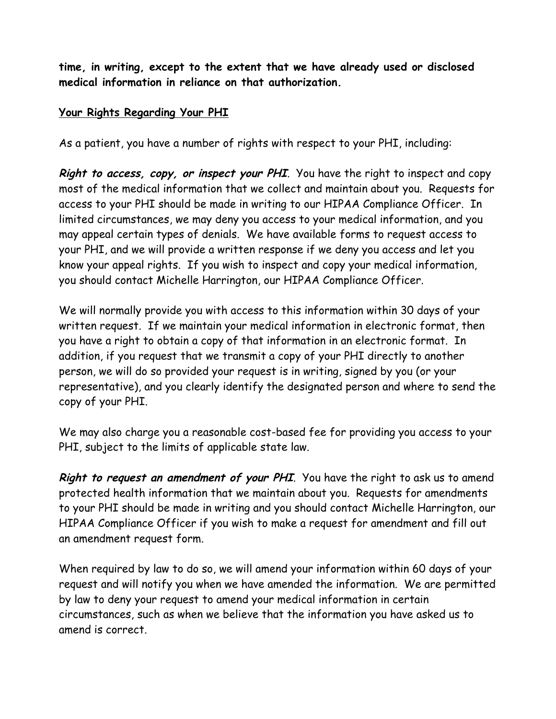**time, in writing, except to the extent that we have already used or disclosed medical information in reliance on that authorization.**

#### **Your Rights Regarding Your PHI**

As a patient, you have a number of rights with respect to your PHI, including:

**Right to access, copy, or inspect your PHI**. You have the right to inspect and copy most of the medical information that we collect and maintain about you. Requests for access to your PHI should be made in writing to our HIPAA Compliance Officer. In limited circumstances, we may deny you access to your medical information, and you may appeal certain types of denials. We have available forms to request access to your PHI, and we will provide a written response if we deny you access and let you know your appeal rights. If you wish to inspect and copy your medical information, you should contact Michelle Harrington, our HIPAA Compliance Officer.

We will normally provide you with access to this information within 30 days of your written request. If we maintain your medical information in electronic format, then you have a right to obtain a copy of that information in an electronic format. In addition, if you request that we transmit a copy of your PHI directly to another person, we will do so provided your request is in writing, signed by you (or your representative), and you clearly identify the designated person and where to send the copy of your PHI.

We may also charge you a reasonable cost-based fee for providing you access to your PHI, subject to the limits of applicable state law.

**Right to request an amendment of your PHI**. You have the right to ask us to amend protected health information that we maintain about you. Requests for amendments to your PHI should be made in writing and you should contact Michelle Harrington, our HIPAA Compliance Officer if you wish to make a request for amendment and fill out an amendment request form.

When required by law to do so, we will amend your information within 60 days of your request and will notify you when we have amended the information. We are permitted by law to deny your request to amend your medical information in certain circumstances, such as when we believe that the information you have asked us to amend is correct.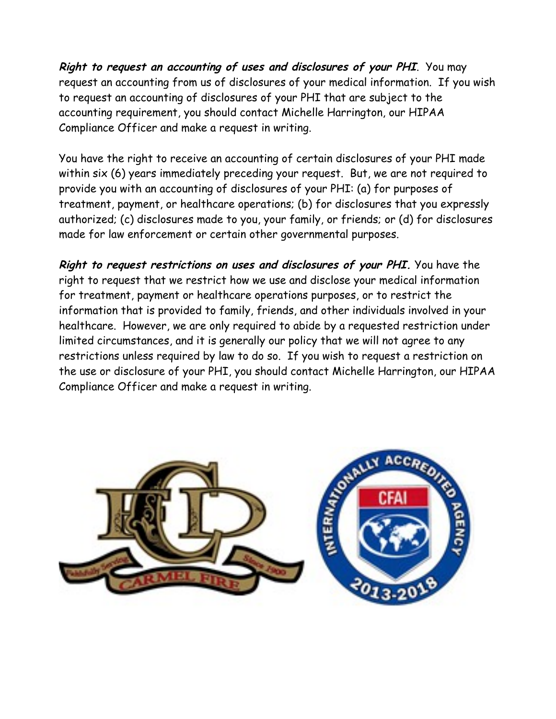**Right to request an accounting of uses and disclosures of your PHI**. You may request an accounting from us of disclosures of your medical information. If you wish to request an accounting of disclosures of your PHI that are subject to the accounting requirement, you should contact Michelle Harrington, our HIPAA Compliance Officer and make a request in writing.

You have the right to receive an accounting of certain disclosures of your PHI made within six (6) years immediately preceding your request. But, we are not required to provide you with an accounting of disclosures of your PHI: (a) for purposes of treatment, payment, or healthcare operations; (b) for disclosures that you expressly authorized; (c) disclosures made to you, your family, or friends; or (d) for disclosures made for law enforcement or certain other governmental purposes.

**Right to request restrictions on uses and disclosures of your PHI.** You have the right to request that we restrict how we use and disclose your medical information for treatment, payment or healthcare operations purposes, or to restrict the information that is provided to family, friends, and other individuals involved in your healthcare. However, we are only required to abide by a requested restriction under limited circumstances, and it is generally our policy that we will not agree to any restrictions unless required by law to do so. If you wish to request a restriction on the use or disclosure of your PHI, you should contact Michelle Harrington, our HIPAA Compliance Officer and make a request in writing.

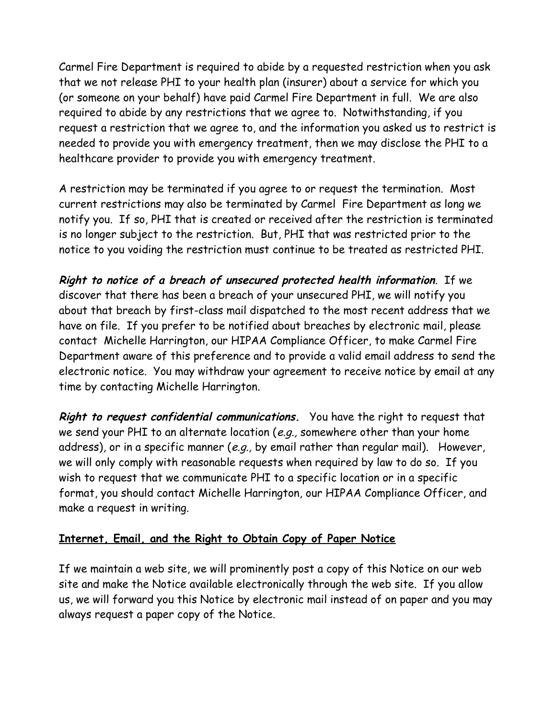Carmel Fire Department is required to abide by a requested restriction when you ask that we not release PHI to your health plan (insurer) about a service for which you (or someone on your behalf) have paid Carmel Fire Department in full. We are also required to abide by any restrictions that we agree to. Notwithstanding, if you request a restriction that we agree to, and the information you asked us to restrict is needed to provide you with emergency treatment, then we may disclose the PHI to a healthcare provider to provide you with emergency treatment.

A restriction may be terminated if you agree to or request the termination. Most current restrictions may also be terminated by Carmel Fire Department as long we notify you. If so, PHI that is created or received after the restriction is terminated is no longer subject to the restriction. But, PHI that was restricted prior to the notice to you voiding the restriction must continue to be treated as restricted PHI.

**Right to notice of a breach of unsecured protected health information**. If we discover that there has been a breach of your unsecured PHI, we will notify you about that breach by first-class mail dispatched to the most recent address that we have on file. If you prefer to be notified about breaches by electronic mail, please contact Michelle Harrington, our HIPAA Compliance Officer, to make Carmel Fire Department aware of this preference and to provide a valid email address to send the electronic notice. You may withdraw your agreement to receive notice by email at any time by contacting Michelle Harrington.

**Right to request confidential communications.** You have the right to request that we send your PHI to an alternate location (e.g., somewhere other than your home address), or in a specific manner (e.g., by email rather than regular mail). However, we will only comply with reasonable requests when required by law to do so. If you wish to request that we communicate PHI to a specific location or in a specific format, you should contact Michelle Harrington, our HIPAA Compliance Officer, and make a request in writing.

# **Internet, Email, and the Right to Obtain Copy of Paper Notice**

If we maintain a web site, we will prominently post a copy of this Notice on our web site and make the Notice available electronically through the web site. If you allow us, we will forward you this Notice by electronic mail instead of on paper and you may always request a paper copy of the Notice.